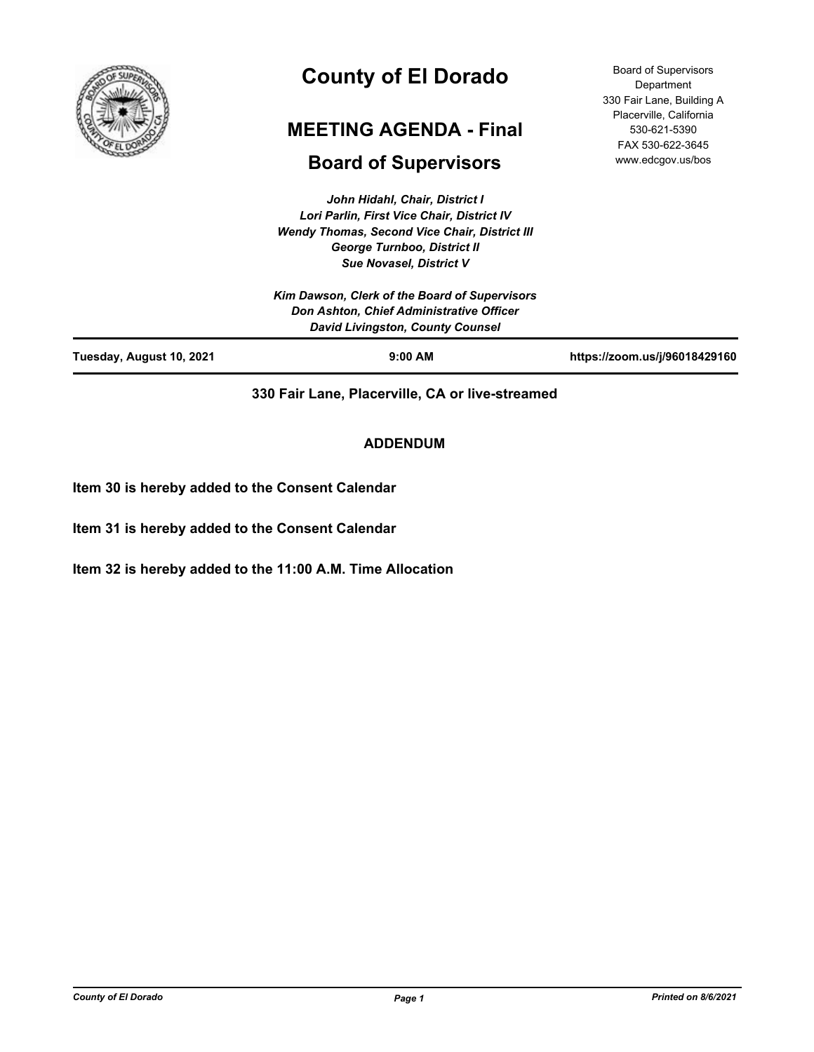

# **County of El Dorado**

# **MEETING AGENDA - Final**

# **Board of Supervisors**

*John Hidahl, Chair, District I Lori Parlin, First Vice Chair, District IV Wendy Thomas, Second Vice Chair, District III George Turnboo, District II Sue Novasel, District V*

Board of Supervisors Department 330 Fair Lane, Building A Placerville, California 530-621-5390 FAX 530-622-3645 www.edcgov.us/bos

**330 Fair Lane, Placerville, CA or live-streamed**

# **ADDENDUM**

**Item 30 is hereby added to the Consent Calendar**

**Item 31 is hereby added to the Consent Calendar**

**Item 32 is hereby added to the 11:00 A.M. Time Allocation**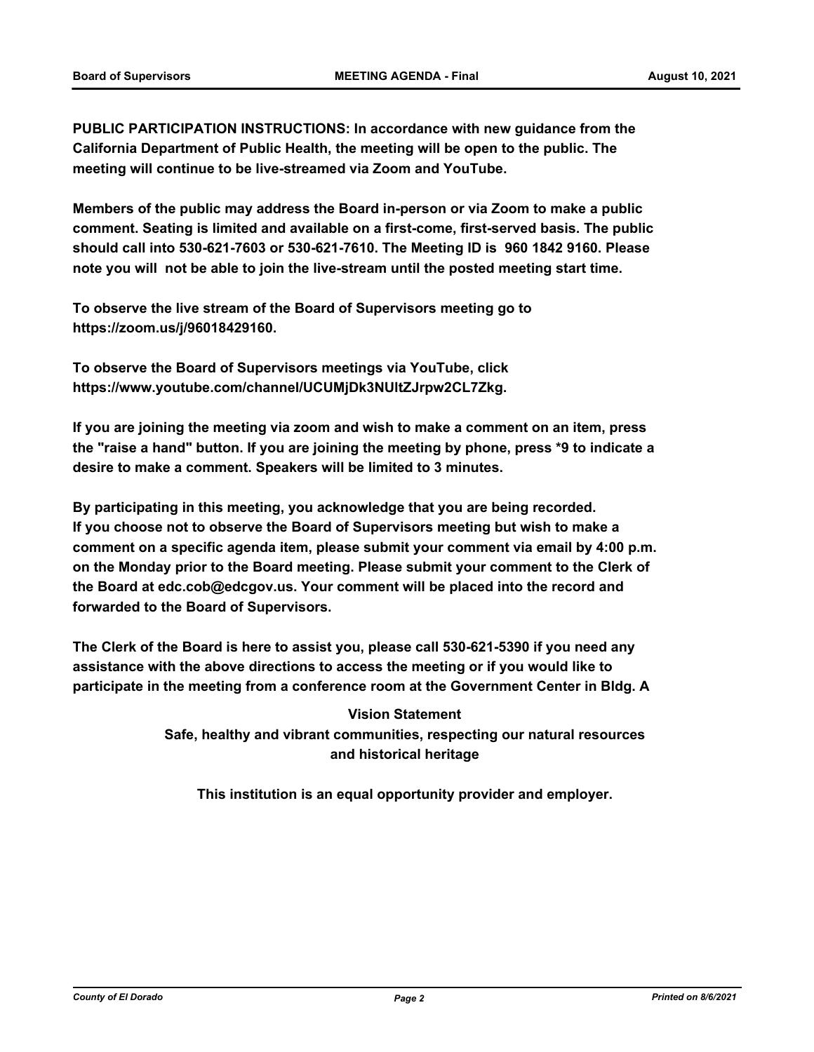**PUBLIC PARTICIPATION INSTRUCTIONS: In accordance with new guidance from the California Department of Public Health, the meeting will be open to the public. The meeting will continue to be live-streamed via Zoom and YouTube.**

**Members of the public may address the Board in-person or via Zoom to make a public comment. Seating is limited and available on a first-come, first-served basis. The public should call into 530-621-7603 or 530-621-7610. The Meeting ID is 960 1842 9160. Please note you will not be able to join the live-stream until the posted meeting start time.**

**To observe the live stream of the Board of Supervisors meeting go to https://zoom.us/j/96018429160.**

**To observe the Board of Supervisors meetings via YouTube, click https://www.youtube.com/channel/UCUMjDk3NUltZJrpw2CL7Zkg.**

**If you are joining the meeting via zoom and wish to make a comment on an item, press the "raise a hand" button. If you are joining the meeting by phone, press \*9 to indicate a desire to make a comment. Speakers will be limited to 3 minutes.**

**By participating in this meeting, you acknowledge that you are being recorded. If you choose not to observe the Board of Supervisors meeting but wish to make a comment on a specific agenda item, please submit your comment via email by 4:00 p.m. on the Monday prior to the Board meeting. Please submit your comment to the Clerk of the Board at edc.cob@edcgov.us. Your comment will be placed into the record and forwarded to the Board of Supervisors.**

**The Clerk of the Board is here to assist you, please call 530-621-5390 if you need any assistance with the above directions to access the meeting or if you would like to participate in the meeting from a conference room at the Government Center in Bldg. A**

> **Vision Statement Safe, healthy and vibrant communities, respecting our natural resources and historical heritage**

**This institution is an equal opportunity provider and employer.**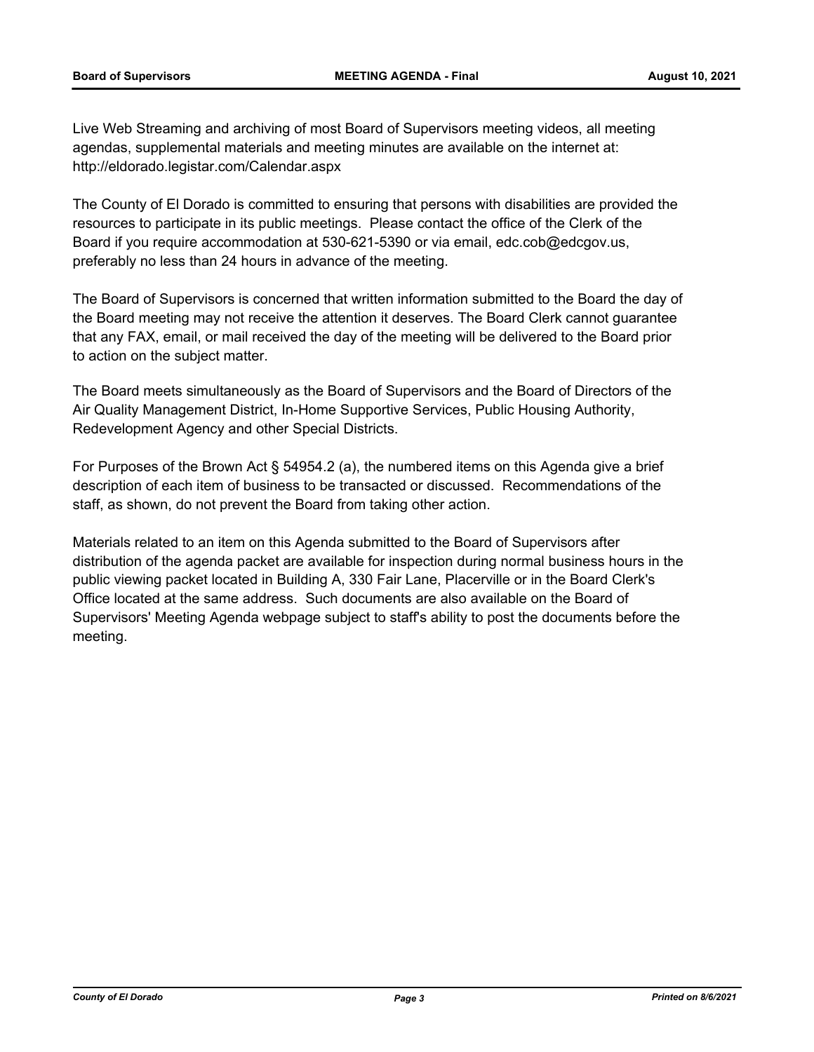Live Web Streaming and archiving of most Board of Supervisors meeting videos, all meeting agendas, supplemental materials and meeting minutes are available on the internet at: http://eldorado.legistar.com/Calendar.aspx

The County of El Dorado is committed to ensuring that persons with disabilities are provided the resources to participate in its public meetings. Please contact the office of the Clerk of the Board if you require accommodation at 530-621-5390 or via email, edc.cob@edcgov.us, preferably no less than 24 hours in advance of the meeting.

The Board of Supervisors is concerned that written information submitted to the Board the day of the Board meeting may not receive the attention it deserves. The Board Clerk cannot guarantee that any FAX, email, or mail received the day of the meeting will be delivered to the Board prior to action on the subject matter.

The Board meets simultaneously as the Board of Supervisors and the Board of Directors of the Air Quality Management District, In-Home Supportive Services, Public Housing Authority, Redevelopment Agency and other Special Districts.

For Purposes of the Brown Act § 54954.2 (a), the numbered items on this Agenda give a brief description of each item of business to be transacted or discussed. Recommendations of the staff, as shown, do not prevent the Board from taking other action.

Materials related to an item on this Agenda submitted to the Board of Supervisors after distribution of the agenda packet are available for inspection during normal business hours in the public viewing packet located in Building A, 330 Fair Lane, Placerville or in the Board Clerk's Office located at the same address. Such documents are also available on the Board of Supervisors' Meeting Agenda webpage subject to staff's ability to post the documents before the meeting.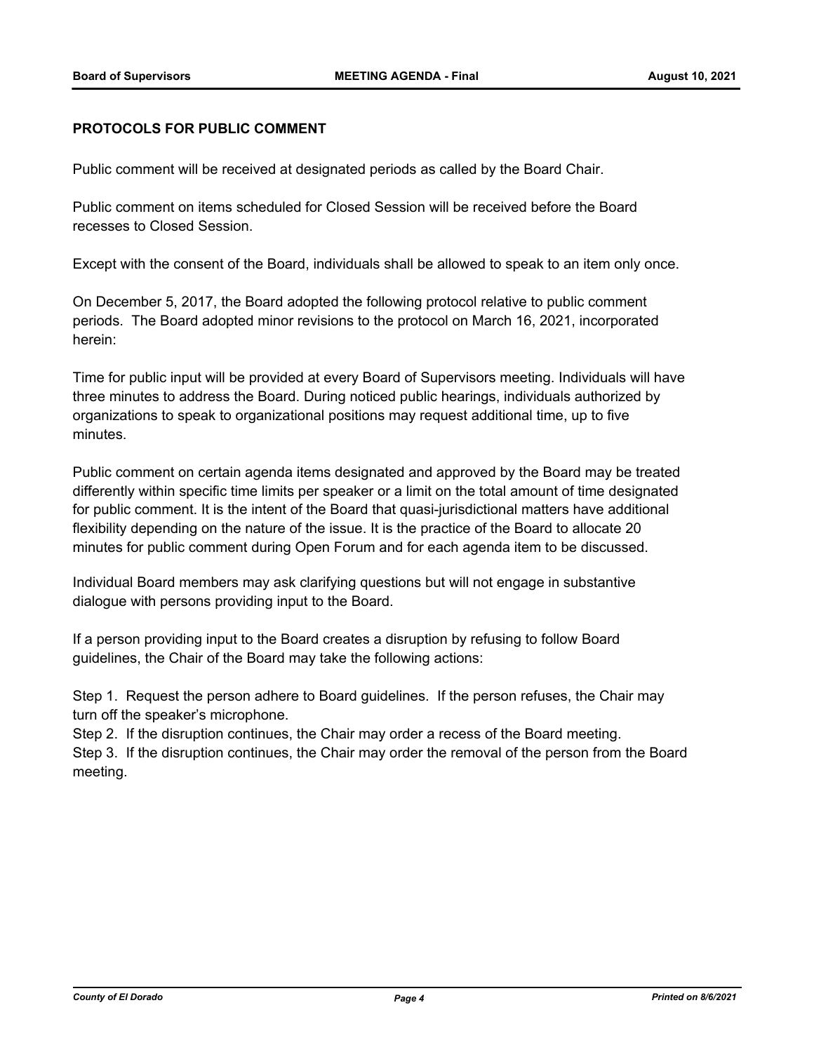# **PROTOCOLS FOR PUBLIC COMMENT**

Public comment will be received at designated periods as called by the Board Chair.

Public comment on items scheduled for Closed Session will be received before the Board recesses to Closed Session.

Except with the consent of the Board, individuals shall be allowed to speak to an item only once.

On December 5, 2017, the Board adopted the following protocol relative to public comment periods. The Board adopted minor revisions to the protocol on March 16, 2021, incorporated herein:

Time for public input will be provided at every Board of Supervisors meeting. Individuals will have three minutes to address the Board. During noticed public hearings, individuals authorized by organizations to speak to organizational positions may request additional time, up to five minutes.

Public comment on certain agenda items designated and approved by the Board may be treated differently within specific time limits per speaker or a limit on the total amount of time designated for public comment. It is the intent of the Board that quasi-jurisdictional matters have additional flexibility depending on the nature of the issue. It is the practice of the Board to allocate 20 minutes for public comment during Open Forum and for each agenda item to be discussed.

Individual Board members may ask clarifying questions but will not engage in substantive dialogue with persons providing input to the Board.

If a person providing input to the Board creates a disruption by refusing to follow Board guidelines, the Chair of the Board may take the following actions:

Step 1. Request the person adhere to Board guidelines. If the person refuses, the Chair may turn off the speaker's microphone.

Step 2. If the disruption continues, the Chair may order a recess of the Board meeting.

Step 3. If the disruption continues, the Chair may order the removal of the person from the Board meeting.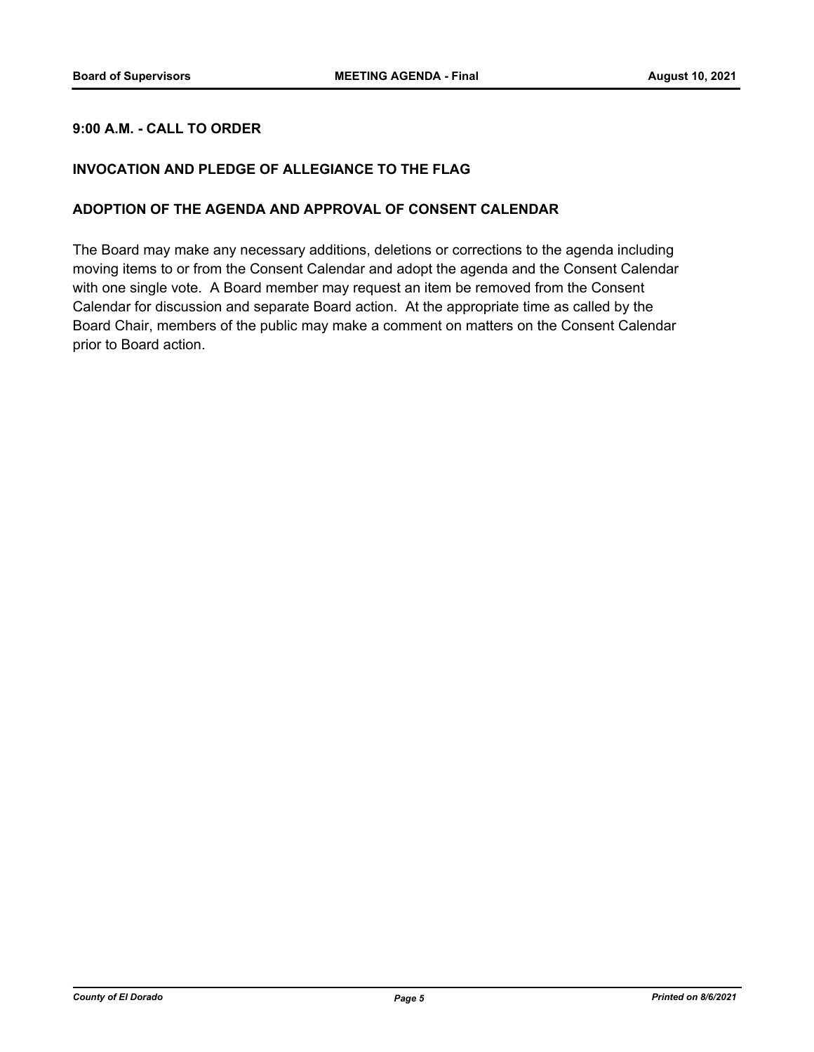# **9:00 A.M. - CALL TO ORDER**

# **INVOCATION AND PLEDGE OF ALLEGIANCE TO THE FLAG**

### **ADOPTION OF THE AGENDA AND APPROVAL OF CONSENT CALENDAR**

The Board may make any necessary additions, deletions or corrections to the agenda including moving items to or from the Consent Calendar and adopt the agenda and the Consent Calendar with one single vote. A Board member may request an item be removed from the Consent Calendar for discussion and separate Board action. At the appropriate time as called by the Board Chair, members of the public may make a comment on matters on the Consent Calendar prior to Board action.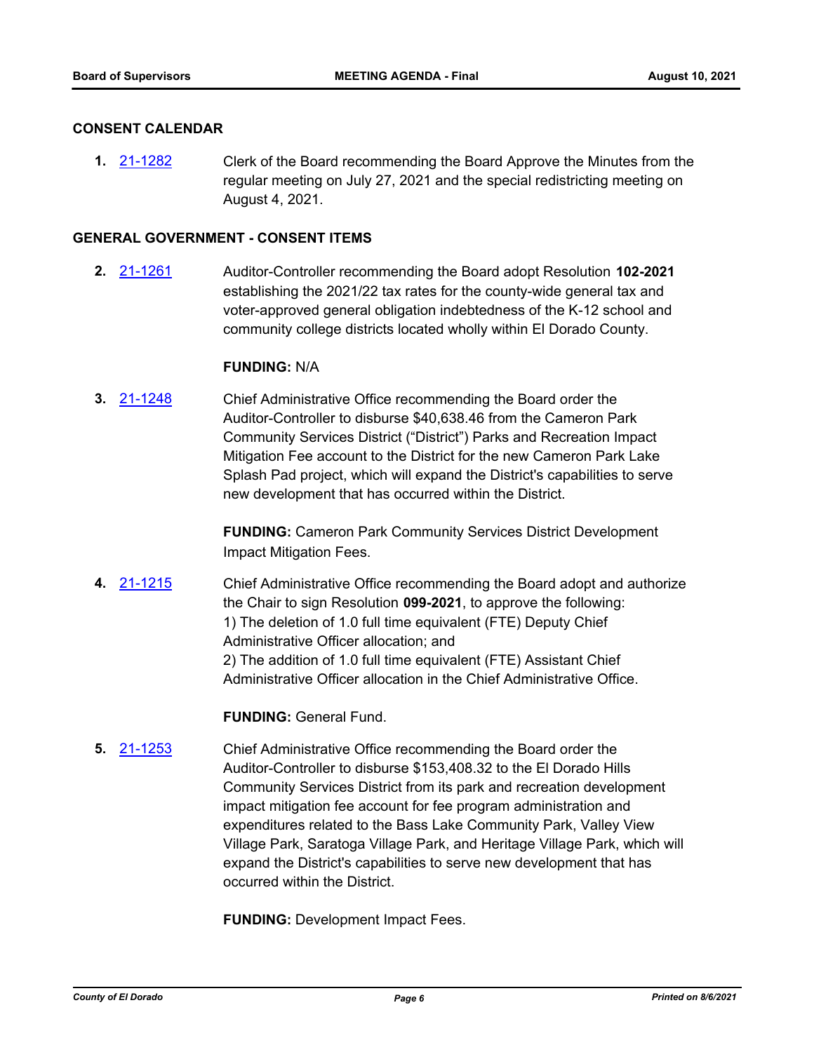#### **CONSENT CALENDAR**

**1.** [21-1282](http://eldorado.legistar.com/gateway.aspx?m=l&id=/matter.aspx?key=30177) Clerk of the Board recommending the Board Approve the Minutes from the regular meeting on July 27, 2021 and the special redistricting meeting on August 4, 2021.

#### **GENERAL GOVERNMENT - CONSENT ITEMS**

**2.** [21-1261](http://eldorado.legistar.com/gateway.aspx?m=l&id=/matter.aspx?key=30156) Auditor-Controller recommending the Board adopt Resolution **102-2021**  establishing the 2021/22 tax rates for the county-wide general tax and voter-approved general obligation indebtedness of the K-12 school and community college districts located wholly within El Dorado County.

#### **FUNDING:** N/A

**3.** [21-1248](http://eldorado.legistar.com/gateway.aspx?m=l&id=/matter.aspx?key=30143) Chief Administrative Office recommending the Board order the Auditor-Controller to disburse \$40,638.46 from the Cameron Park Community Services District ("District") Parks and Recreation Impact Mitigation Fee account to the District for the new Cameron Park Lake Splash Pad project, which will expand the District's capabilities to serve new development that has occurred within the District.

> **FUNDING:** Cameron Park Community Services District Development Impact Mitigation Fees.

**4.** [21-1215](http://eldorado.legistar.com/gateway.aspx?m=l&id=/matter.aspx?key=30110) Chief Administrative Office recommending the Board adopt and authorize the Chair to sign Resolution **099-2021**, to approve the following: 1) The deletion of 1.0 full time equivalent (FTE) Deputy Chief Administrative Officer allocation; and 2) The addition of 1.0 full time equivalent (FTE) Assistant Chief Administrative Officer allocation in the Chief Administrative Office.

**FUNDING:** General Fund.

**5.** [21-1253](http://eldorado.legistar.com/gateway.aspx?m=l&id=/matter.aspx?key=30148) Chief Administrative Office recommending the Board order the Auditor-Controller to disburse \$153,408.32 to the El Dorado Hills Community Services District from its park and recreation development impact mitigation fee account for fee program administration and expenditures related to the Bass Lake Community Park, Valley View Village Park, Saratoga Village Park, and Heritage Village Park, which will expand the District's capabilities to serve new development that has occurred within the District.

**FUNDING: Development Impact Fees.**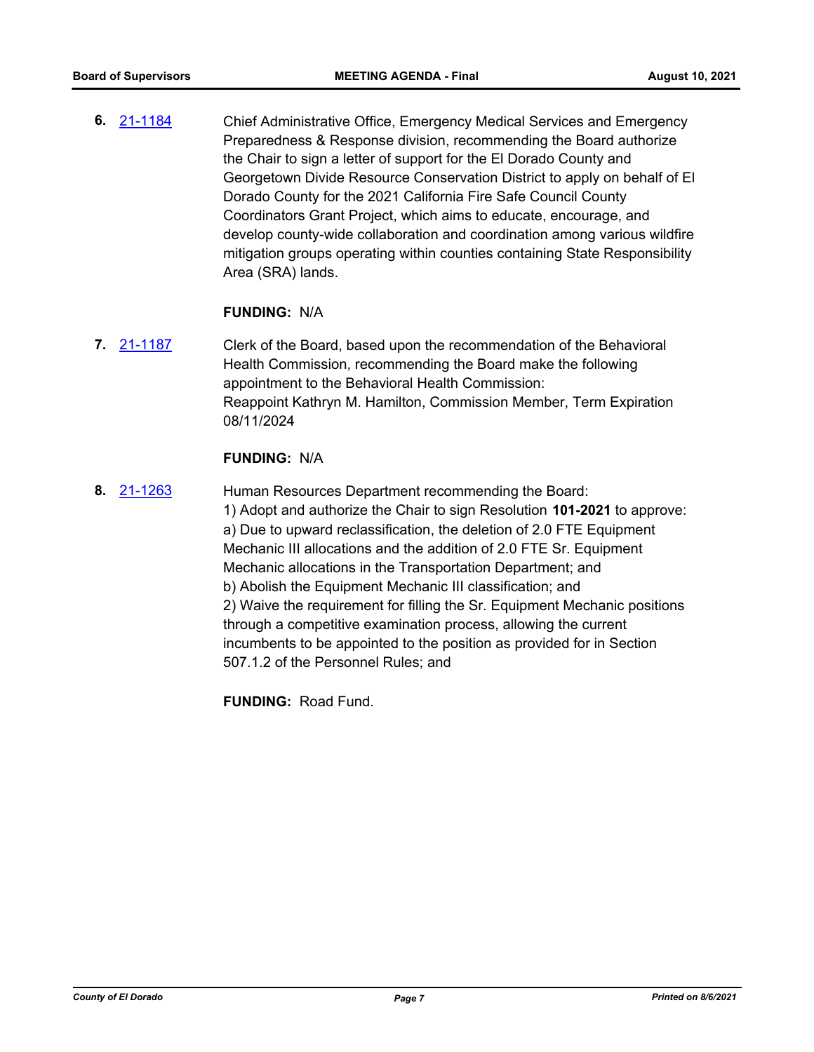**6.** [21-1184](http://eldorado.legistar.com/gateway.aspx?m=l&id=/matter.aspx?key=30079) Chief Administrative Office, Emergency Medical Services and Emergency Preparedness & Response division, recommending the Board authorize the Chair to sign a letter of support for the El Dorado County and Georgetown Divide Resource Conservation District to apply on behalf of El Dorado County for the 2021 California Fire Safe Council County Coordinators Grant Project, which aims to educate, encourage, and develop county-wide collaboration and coordination among various wildfire mitigation groups operating within counties containing State Responsibility Area (SRA) lands.

#### **FUNDING:** N/A

**7.** [21-1187](http://eldorado.legistar.com/gateway.aspx?m=l&id=/matter.aspx?key=30082) Clerk of the Board, based upon the recommendation of the Behavioral Health Commission, recommending the Board make the following appointment to the Behavioral Health Commission: Reappoint Kathryn M. Hamilton, Commission Member, Term Expiration 08/11/2024

#### **FUNDING:** N/A

**8.** [21-1263](http://eldorado.legistar.com/gateway.aspx?m=l&id=/matter.aspx?key=30158) Human Resources Department recommending the Board: 1) Adopt and authorize the Chair to sign Resolution **101-2021** to approve: a) Due to upward reclassification, the deletion of 2.0 FTE Equipment Mechanic III allocations and the addition of 2.0 FTE Sr. Equipment Mechanic allocations in the Transportation Department; and b) Abolish the Equipment Mechanic III classification; and 2) Waive the requirement for filling the Sr. Equipment Mechanic positions through a competitive examination process, allowing the current incumbents to be appointed to the position as provided for in Section 507.1.2 of the Personnel Rules; and

**FUNDING:** Road Fund.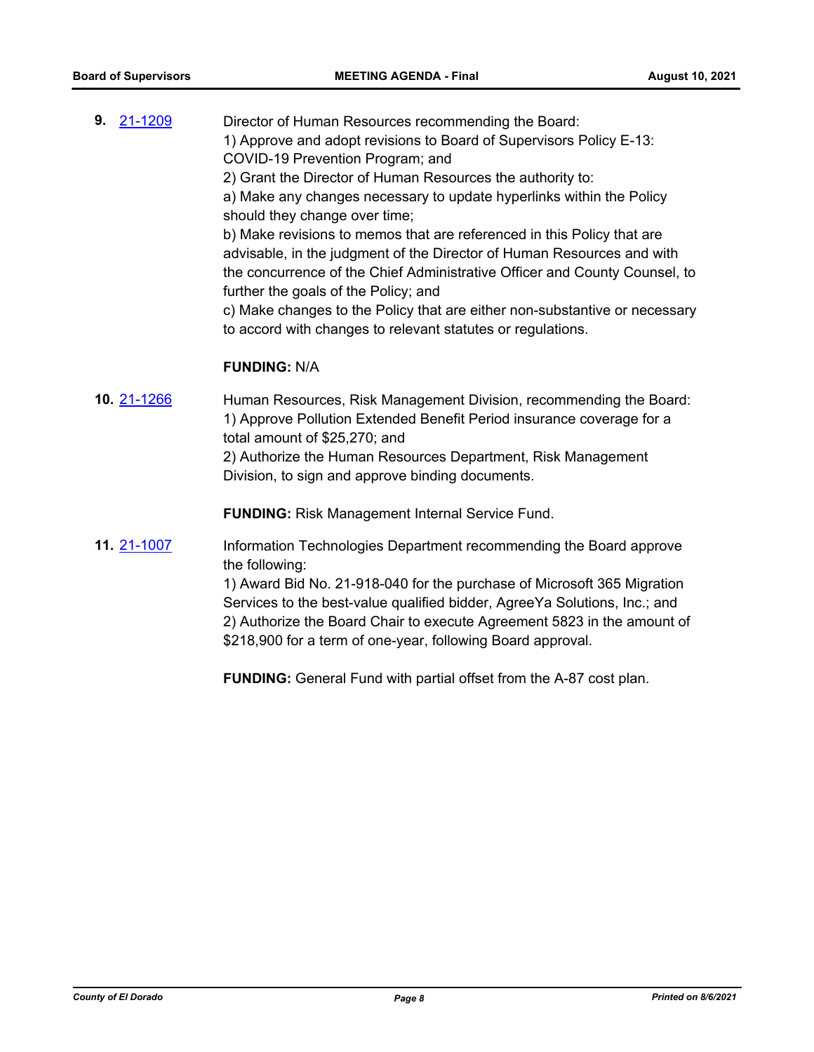| 9. | 21-1209 | Director of Human Resources recommending the Board:                        |
|----|---------|----------------------------------------------------------------------------|
|    |         | 1) Approve and adopt revisions to Board of Supervisors Policy E-13:        |
|    |         | COVID-19 Prevention Program; and                                           |
|    |         | 2) Grant the Director of Human Resources the authority to:                 |
|    |         | a) Make any changes necessary to update hyperlinks within the Policy       |
|    |         | should they change over time;                                              |
|    |         | b) Make revisions to memos that are referenced in this Policy that are     |
|    |         | advisable, in the judgment of the Director of Human Resources and with     |
|    |         | the concurrence of the Chief Administrative Officer and County Counsel, to |
|    |         | further the goals of the Policy; and                                       |
|    |         | c) Make changes to the Policy that are either non-substantive or necessary |
|    |         | to accord with changes to relevant statutes or regulations.                |
|    |         |                                                                            |
|    |         |                                                                            |

# **FUNDING:** N/A

**10.** [21-1266](http://eldorado.legistar.com/gateway.aspx?m=l&id=/matter.aspx?key=30161) Human Resources, Risk Management Division, recommending the Board: 1) Approve Pollution Extended Benefit Period insurance coverage for a total amount of \$25,270; and 2) Authorize the Human Resources Department, Risk Management Division, to sign and approve binding documents.

**FUNDING:** Risk Management Internal Service Fund.

**11.** [21-1007](http://eldorado.legistar.com/gateway.aspx?m=l&id=/matter.aspx?key=29901) Information Technologies Department recommending the Board approve the following:

> 1) Award Bid No. 21-918-040 for the purchase of Microsoft 365 Migration Services to the best-value qualified bidder, AgreeYa Solutions, Inc.; and 2) Authorize the Board Chair to execute Agreement 5823 in the amount of \$218,900 for a term of one-year, following Board approval.

**FUNDING:** General Fund with partial offset from the A-87 cost plan.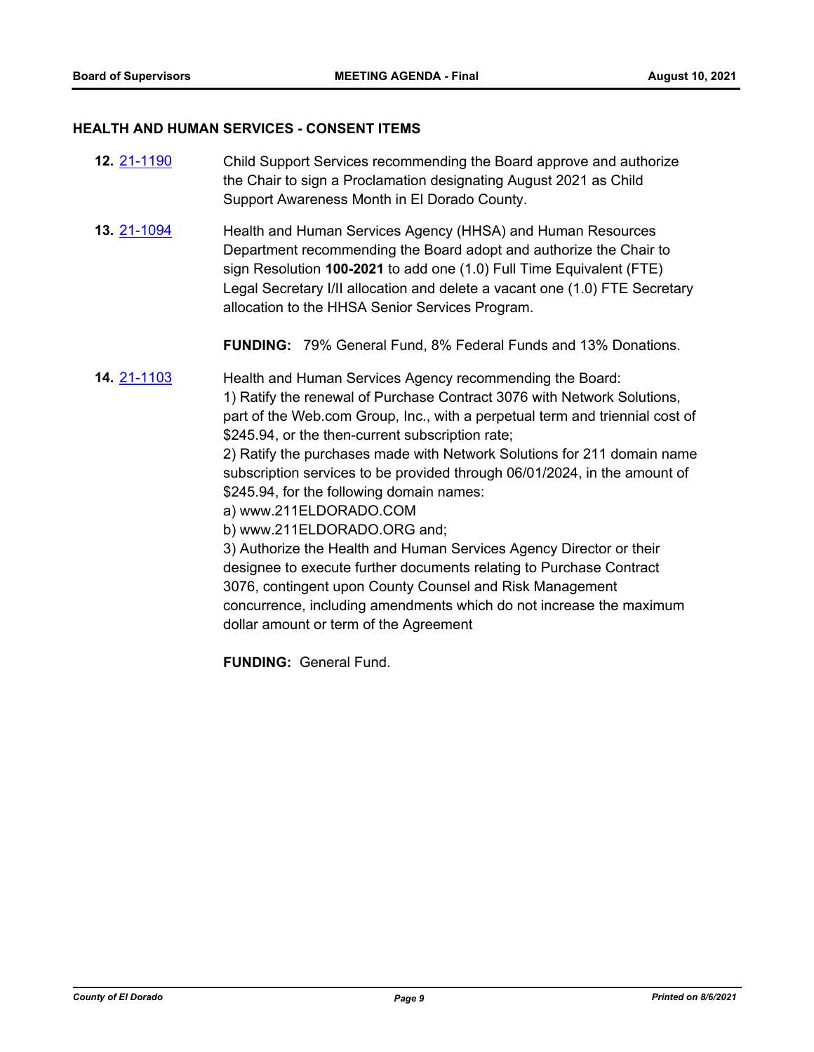#### **HEALTH AND HUMAN SERVICES - CONSENT ITEMS**

- **12.** [21-1190](http://eldorado.legistar.com/gateway.aspx?m=l&id=/matter.aspx?key=30085) Child Support Services recommending the Board approve and authorize the Chair to sign a Proclamation designating August 2021 as Child Support Awareness Month in El Dorado County.
- **13.** [21-1094](http://eldorado.legistar.com/gateway.aspx?m=l&id=/matter.aspx?key=29988) Health and Human Services Agency (HHSA) and Human Resources Department recommending the Board adopt and authorize the Chair to sign Resolution **100-2021** to add one (1.0) Full Time Equivalent (FTE) Legal Secretary I/II allocation and delete a vacant one (1.0) FTE Secretary allocation to the HHSA Senior Services Program.

**FUNDING:** 79% General Fund, 8% Federal Funds and 13% Donations.

**14.** [21-1103](http://eldorado.legistar.com/gateway.aspx?m=l&id=/matter.aspx?key=29998) Health and Human Services Agency recommending the Board: 1) Ratify the renewal of Purchase Contract 3076 with Network Solutions, part of the Web.com Group, Inc., with a perpetual term and triennial cost of \$245.94, or the then-current subscription rate; 2) Ratify the purchases made with Network Solutions for 211 domain name subscription services to be provided through 06/01/2024, in the amount of \$245.94, for the following domain names: a) www.211ELDORADO.COM b) www.211ELDORADO.ORG and; 3) Authorize the Health and Human Services Agency Director or their designee to execute further documents relating to Purchase Contract 3076, contingent upon County Counsel and Risk Management concurrence, including amendments which do not increase the maximum dollar amount or term of the Agreement

**FUNDING:** General Fund.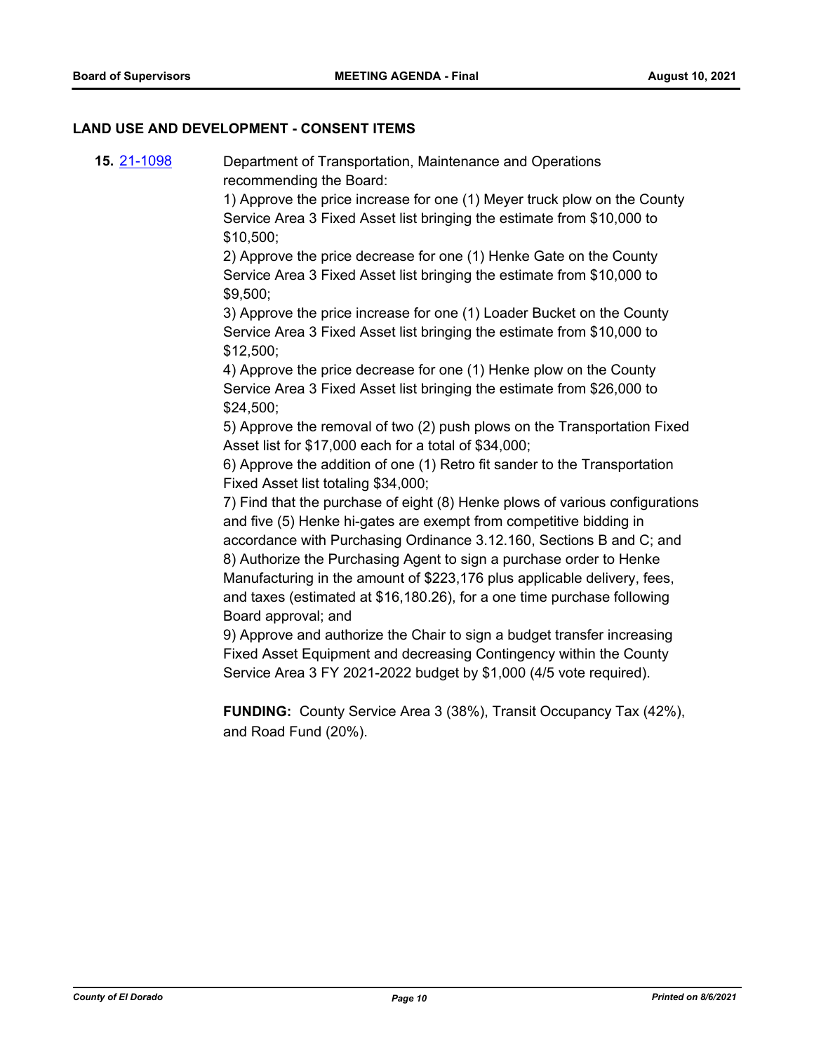## **LAND USE AND DEVELOPMENT - CONSENT ITEMS**

**15.** [21-1098](http://eldorado.legistar.com/gateway.aspx?m=l&id=/matter.aspx?key=29992) Department of Transportation, Maintenance and Operations recommending the Board:

> 1) Approve the price increase for one (1) Meyer truck plow on the County Service Area 3 Fixed Asset list bringing the estimate from \$10,000 to \$10,500;

2) Approve the price decrease for one (1) Henke Gate on the County Service Area 3 Fixed Asset list bringing the estimate from \$10,000 to \$9,500;

3) Approve the price increase for one (1) Loader Bucket on the County Service Area 3 Fixed Asset list bringing the estimate from \$10,000 to \$12,500;

4) Approve the price decrease for one (1) Henke plow on the County Service Area 3 Fixed Asset list bringing the estimate from \$26,000 to \$24,500;

5) Approve the removal of two (2) push plows on the Transportation Fixed Asset list for \$17,000 each for a total of \$34,000;

6) Approve the addition of one (1) Retro fit sander to the Transportation Fixed Asset list totaling \$34,000;

7) Find that the purchase of eight (8) Henke plows of various configurations and five (5) Henke hi-gates are exempt from competitive bidding in accordance with Purchasing Ordinance 3.12.160, Sections B and C; and 8) Authorize the Purchasing Agent to sign a purchase order to Henke Manufacturing in the amount of \$223,176 plus applicable delivery, fees, and taxes (estimated at \$16,180.26), for a one time purchase following Board approval; and

9) Approve and authorize the Chair to sign a budget transfer increasing Fixed Asset Equipment and decreasing Contingency within the County Service Area 3 FY 2021-2022 budget by \$1,000 (4/5 vote required).

**FUNDING:** County Service Area 3 (38%), Transit Occupancy Tax (42%), and Road Fund (20%).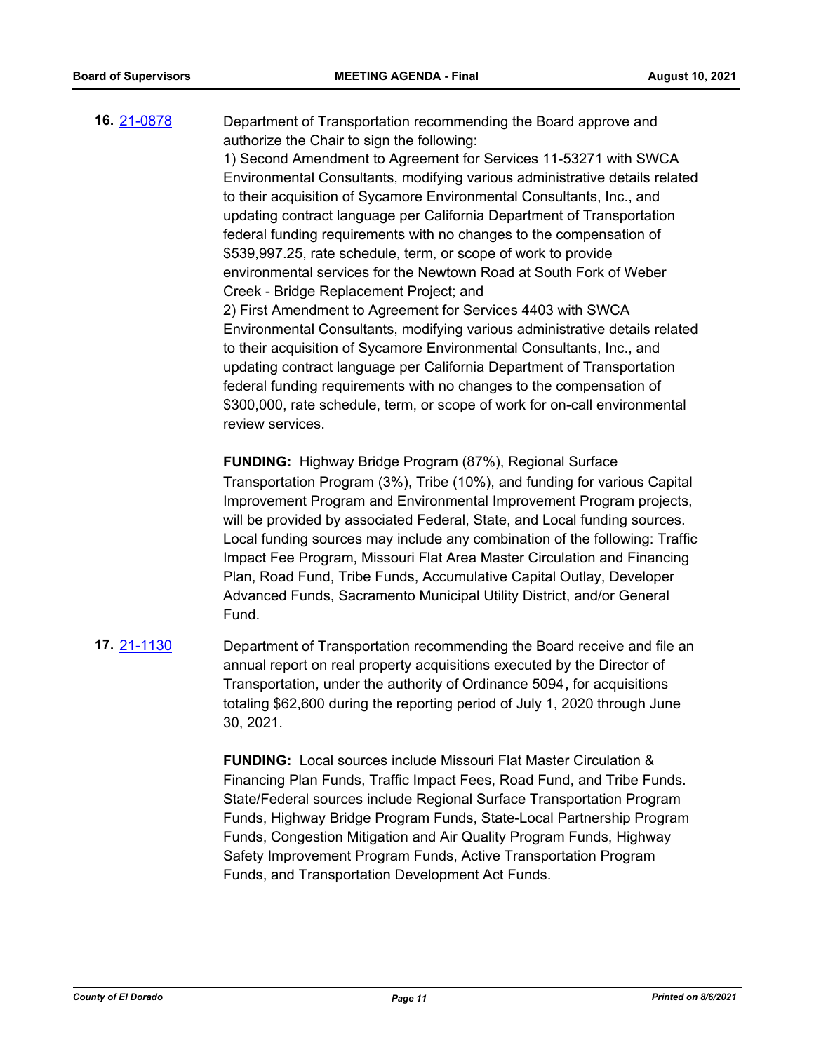**16.** [21-0878](http://eldorado.legistar.com/gateway.aspx?m=l&id=/matter.aspx?key=29773) Department of Transportation recommending the Board approve and authorize the Chair to sign the following: 1) Second Amendment to Agreement for Services 11-53271 with SWCA Environmental Consultants, modifying various administrative details related to their acquisition of Sycamore Environmental Consultants, Inc., and updating contract language per California Department of Transportation federal funding requirements with no changes to the compensation of \$539,997.25, rate schedule, term, or scope of work to provide environmental services for the Newtown Road at South Fork of Weber Creek - Bridge Replacement Project; and 2) First Amendment to Agreement for Services 4403 with SWCA Environmental Consultants, modifying various administrative details related to their acquisition of Sycamore Environmental Consultants, Inc., and updating contract language per California Department of Transportation federal funding requirements with no changes to the compensation of \$300,000, rate schedule, term, or scope of work for on-call environmental

review services.

**FUNDING:** Highway Bridge Program (87%), Regional Surface Transportation Program (3%), Tribe (10%), and funding for various Capital Improvement Program and Environmental Improvement Program projects, will be provided by associated Federal, State, and Local funding sources. Local funding sources may include any combination of the following: Traffic Impact Fee Program, Missouri Flat Area Master Circulation and Financing Plan, Road Fund, Tribe Funds, Accumulative Capital Outlay, Developer Advanced Funds, Sacramento Municipal Utility District, and/or General Fund.

**17.** [21-1130](http://eldorado.legistar.com/gateway.aspx?m=l&id=/matter.aspx?key=30025) Department of Transportation recommending the Board receive and file an annual report on real property acquisitions executed by the Director of Transportation, under the authority of Ordinance 5094**,** for acquisitions totaling \$62,600 during the reporting period of July 1, 2020 through June 30, 2021.

> **FUNDING:** Local sources include Missouri Flat Master Circulation & Financing Plan Funds, Traffic Impact Fees, Road Fund, and Tribe Funds. State/Federal sources include Regional Surface Transportation Program Funds, Highway Bridge Program Funds, State-Local Partnership Program Funds, Congestion Mitigation and Air Quality Program Funds, Highway Safety Improvement Program Funds, Active Transportation Program Funds, and Transportation Development Act Funds.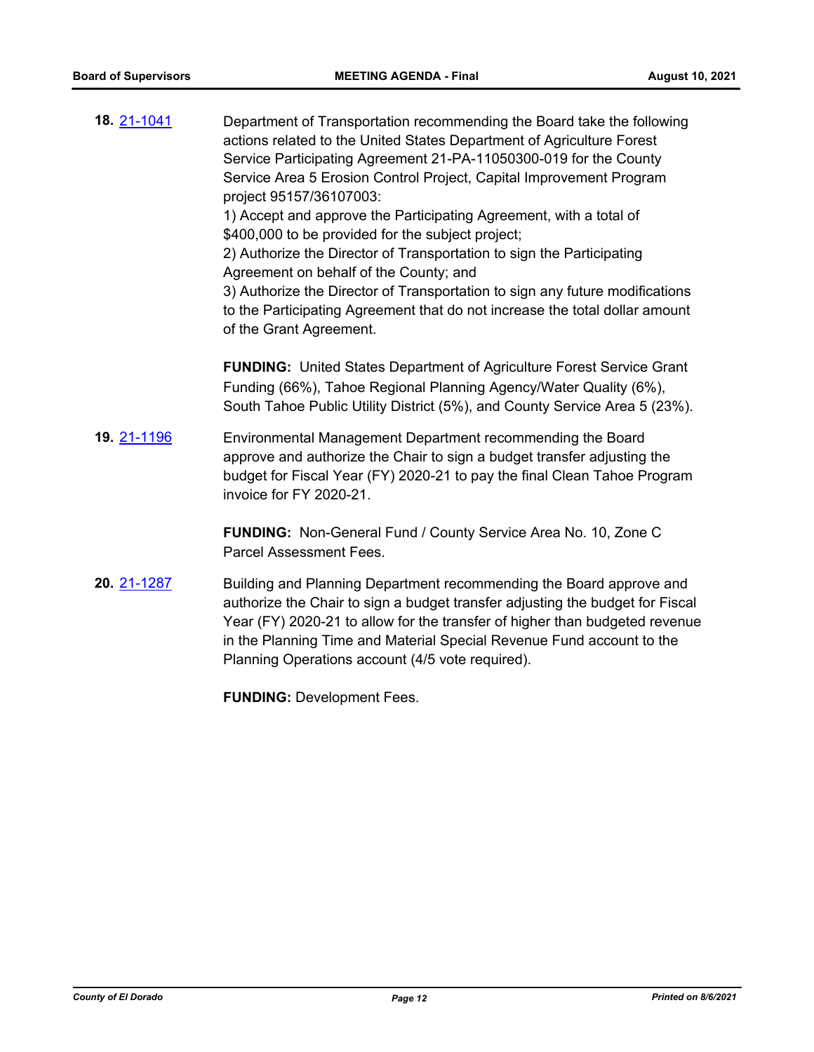| 18. 21-1041 | Department of Transportation recommending the Board take the following<br>actions related to the United States Department of Agriculture Forest<br>Service Participating Agreement 21-PA-11050300-019 for the County<br>Service Area 5 Erosion Control Project, Capital Improvement Program<br>project 95157/36107003:<br>1) Accept and approve the Participating Agreement, with a total of<br>\$400,000 to be provided for the subject project;<br>2) Authorize the Director of Transportation to sign the Participating<br>Agreement on behalf of the County; and<br>3) Authorize the Director of Transportation to sign any future modifications<br>to the Participating Agreement that do not increase the total dollar amount<br>of the Grant Agreement. |
|-------------|----------------------------------------------------------------------------------------------------------------------------------------------------------------------------------------------------------------------------------------------------------------------------------------------------------------------------------------------------------------------------------------------------------------------------------------------------------------------------------------------------------------------------------------------------------------------------------------------------------------------------------------------------------------------------------------------------------------------------------------------------------------|
|             | <b>FUNDING:</b> United States Department of Agriculture Forest Service Grant<br>Funding (66%), Tahoe Regional Planning Agency/Water Quality (6%),<br>South Tahoe Public Utility District (5%), and County Service Area 5 (23%).                                                                                                                                                                                                                                                                                                                                                                                                                                                                                                                                |
| 19. 21-1196 | Environmental Management Department recommending the Board<br>approve and authorize the Chair to sign a budget transfer adjusting the<br>budget for Fiscal Year (FY) 2020-21 to pay the final Clean Tahoe Program<br>invoice for FY 2020-21.                                                                                                                                                                                                                                                                                                                                                                                                                                                                                                                   |
|             | <b>FUNDING:</b> Non-General Fund / County Service Area No. 10, Zone C<br>Parcel Assessment Fees.                                                                                                                                                                                                                                                                                                                                                                                                                                                                                                                                                                                                                                                               |
| 20. 21-1287 | Building and Planning Department recommending the Board approve and<br>authorize the Chair to sign a budget transfer adjusting the budget for Fiscal<br>Year (FY) 2020-21 to allow for the transfer of higher than budgeted revenue<br>in the Planning Time and Material Special Revenue Fund account to the<br>Planning Operations account (4/5 vote required).                                                                                                                                                                                                                                                                                                                                                                                               |
|             | <b>FUNDING: Development Fees.</b>                                                                                                                                                                                                                                                                                                                                                                                                                                                                                                                                                                                                                                                                                                                              |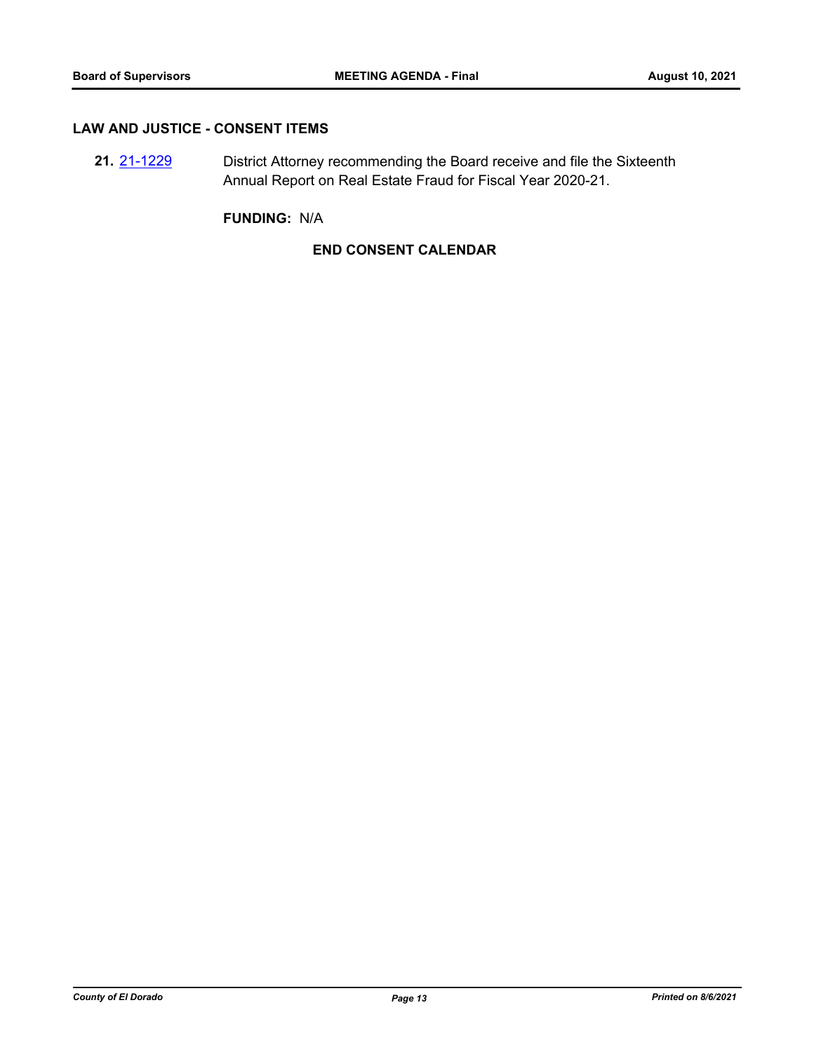# **LAW AND JUSTICE - CONSENT ITEMS**

**21.** [21-1229](http://eldorado.legistar.com/gateway.aspx?m=l&id=/matter.aspx?key=30124) District Attorney recommending the Board receive and file the Sixteenth Annual Report on Real Estate Fraud for Fiscal Year 2020-21.

**FUNDING:** N/A

# **END CONSENT CALENDAR**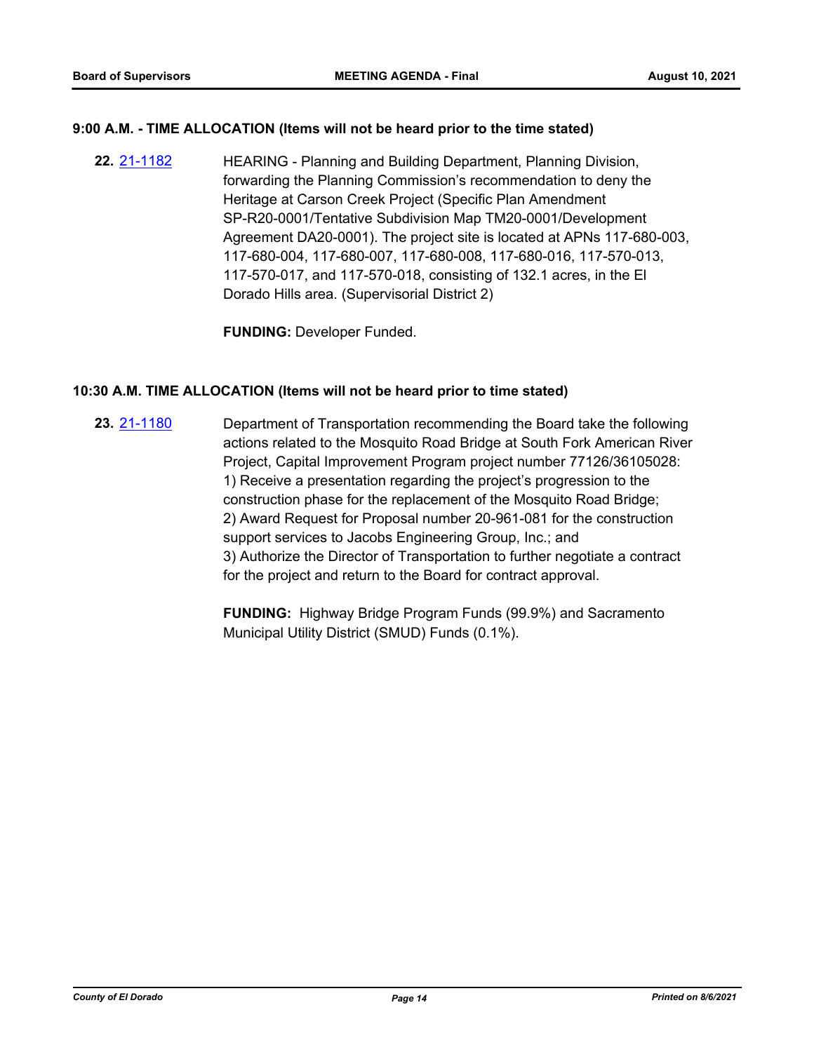# **9:00 A.M. - TIME ALLOCATION (Items will not be heard prior to the time stated)**

**22.** [21-1182](http://eldorado.legistar.com/gateway.aspx?m=l&id=/matter.aspx?key=30077) HEARING - Planning and Building Department, Planning Division, forwarding the Planning Commission's recommendation to deny the Heritage at Carson Creek Project (Specific Plan Amendment SP-R20-0001/Tentative Subdivision Map TM20-0001/Development Agreement DA20-0001). The project site is located at APNs 117-680-003, 117-680-004, 117-680-007, 117-680-008, 117-680-016, 117-570-013, 117-570-017, and 117-570-018, consisting of 132.1 acres, in the El Dorado Hills area. (Supervisorial District 2)

**FUNDING:** Developer Funded.

### **10:30 A.M. TIME ALLOCATION (Items will not be heard prior to time stated)**

**23.** [21-1180](http://eldorado.legistar.com/gateway.aspx?m=l&id=/matter.aspx?key=30075) Department of Transportation recommending the Board take the following actions related to the Mosquito Road Bridge at South Fork American River Project, Capital Improvement Program project number 77126/36105028: 1) Receive a presentation regarding the project's progression to the construction phase for the replacement of the Mosquito Road Bridge; 2) Award Request for Proposal number 20-961-081 for the construction support services to Jacobs Engineering Group, Inc.; and 3) Authorize the Director of Transportation to further negotiate a contract for the project and return to the Board for contract approval.

> **FUNDING:** Highway Bridge Program Funds (99.9%) and Sacramento Municipal Utility District (SMUD) Funds (0.1%).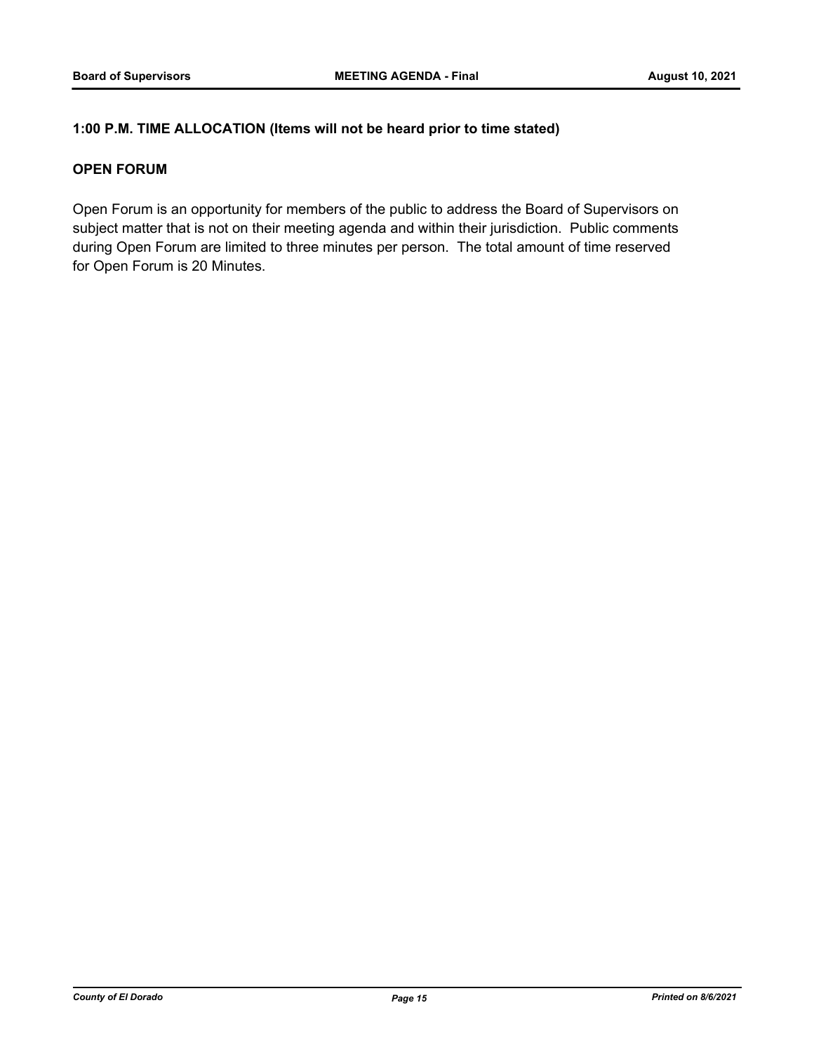# **1:00 P.M. TIME ALLOCATION (Items will not be heard prior to time stated)**

# **OPEN FORUM**

Open Forum is an opportunity for members of the public to address the Board of Supervisors on subject matter that is not on their meeting agenda and within their jurisdiction. Public comments during Open Forum are limited to three minutes per person. The total amount of time reserved for Open Forum is 20 Minutes.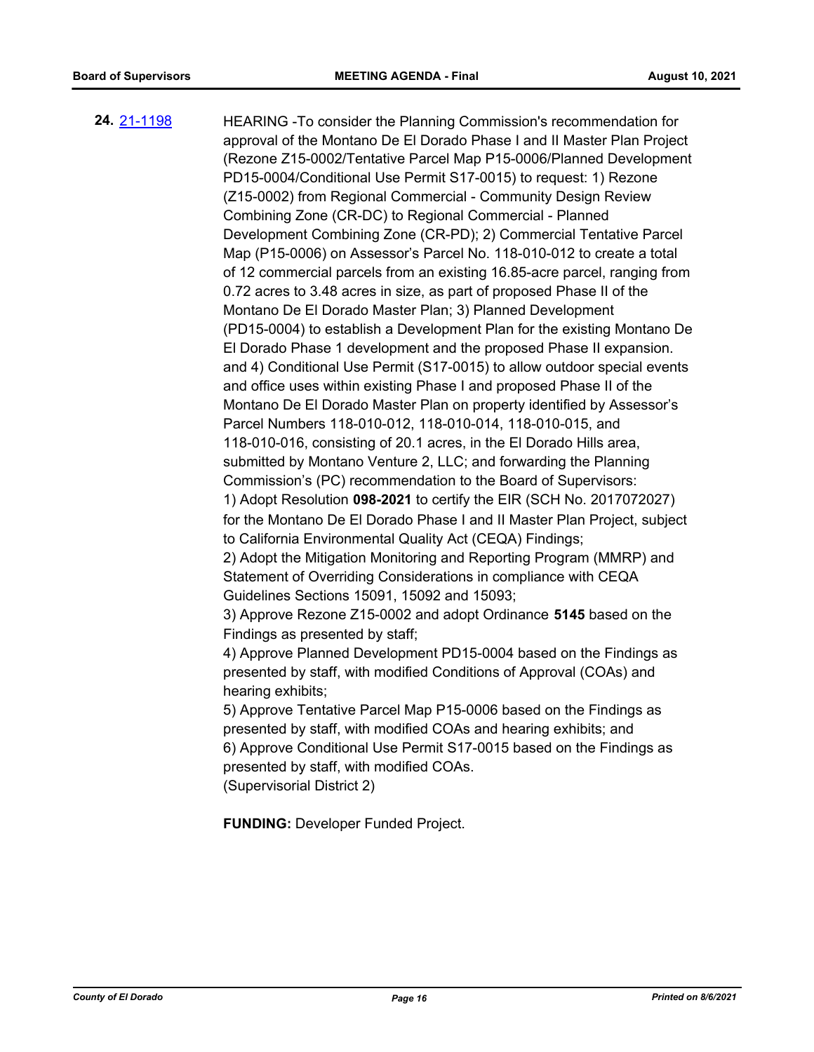**24.** [21-1198](http://eldorado.legistar.com/gateway.aspx?m=l&id=/matter.aspx?key=30093) HEARING -To consider the Planning Commission's recommendation for approval of the Montano De El Dorado Phase I and II Master Plan Project (Rezone Z15-0002/Tentative Parcel Map P15-0006/Planned Development PD15-0004/Conditional Use Permit S17-0015) to request: 1) Rezone (Z15-0002) from Regional Commercial - Community Design Review Combining Zone (CR-DC) to Regional Commercial - Planned Development Combining Zone (CR-PD); 2) Commercial Tentative Parcel Map (P15-0006) on Assessor's Parcel No. 118-010-012 to create a total of 12 commercial parcels from an existing 16.85-acre parcel, ranging from 0.72 acres to 3.48 acres in size, as part of proposed Phase II of the Montano De El Dorado Master Plan; 3) Planned Development (PD15-0004) to establish a Development Plan for the existing Montano De El Dorado Phase 1 development and the proposed Phase II expansion. and 4) Conditional Use Permit (S17-0015) to allow outdoor special events and office uses within existing Phase I and proposed Phase II of the Montano De El Dorado Master Plan on property identified by Assessor's Parcel Numbers 118-010-012, 118-010-014, 118-010-015, and 118-010-016, consisting of 20.1 acres, in the El Dorado Hills area, submitted by Montano Venture 2, LLC; and forwarding the Planning Commission's (PC) recommendation to the Board of Supervisors: 1) Adopt Resolution **098-2021** to certify the EIR (SCH No. 2017072027) for the Montano De El Dorado Phase I and II Master Plan Project, subject to California Environmental Quality Act (CEQA) Findings; 2) Adopt the Mitigation Monitoring and Reporting Program (MMRP) and Statement of Overriding Considerations in compliance with CEQA Guidelines Sections 15091, 15092 and 15093; 3) Approve Rezone Z15-0002 and adopt Ordinance **5145** based on the Findings as presented by staff; 4) Approve Planned Development PD15-0004 based on the Findings as presented by staff, with modified Conditions of Approval (COAs) and hearing exhibits; 5) Approve Tentative Parcel Map P15-0006 based on the Findings as presented by staff, with modified COAs and hearing exhibits; and 6) Approve Conditional Use Permit S17-0015 based on the Findings as presented by staff, with modified COAs. (Supervisorial District 2) **FUNDING:** Developer Funded Project.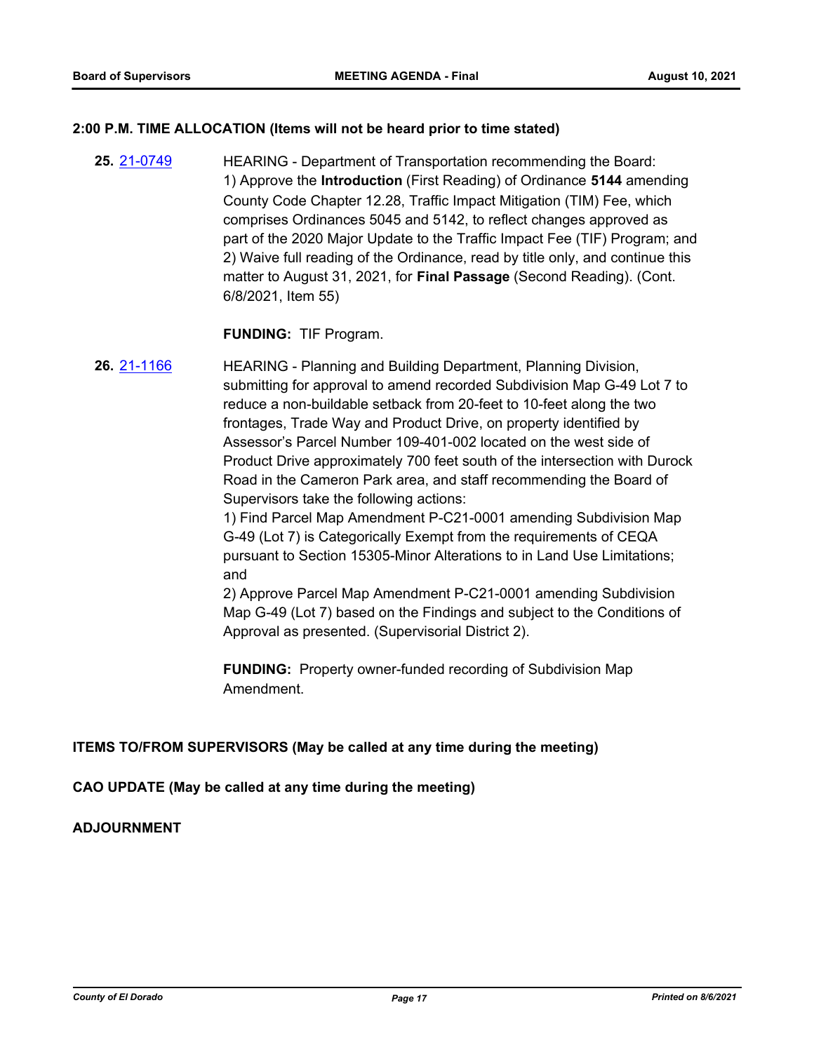#### **2:00 P.M. TIME ALLOCATION (Items will not be heard prior to time stated)**

**25.** [21-0749](http://eldorado.legistar.com/gateway.aspx?m=l&id=/matter.aspx?key=29644) HEARING - Department of Transportation recommending the Board: 1) Approve the **Introduction** (First Reading) of Ordinance **5144** amending County Code Chapter 12.28, Traffic Impact Mitigation (TIM) Fee, which comprises Ordinances 5045 and 5142, to reflect changes approved as part of the 2020 Major Update to the Traffic Impact Fee (TIF) Program; and 2) Waive full reading of the Ordinance, read by title only, and continue this matter to August 31, 2021, for **Final Passage** (Second Reading). (Cont. 6/8/2021, Item 55)

**FUNDING:** TIF Program.

**26.** [21-1166](http://eldorado.legistar.com/gateway.aspx?m=l&id=/matter.aspx?key=30061) HEARING - Planning and Building Department, Planning Division, submitting for approval to amend recorded Subdivision Map G-49 Lot 7 to reduce a non-buildable setback from 20-feet to 10-feet along the two frontages, Trade Way and Product Drive, on property identified by Assessor's Parcel Number 109-401-002 located on the west side of Product Drive approximately 700 feet south of the intersection with Durock Road in the Cameron Park area, and staff recommending the Board of Supervisors take the following actions:

> 1) Find Parcel Map Amendment P-C21-0001 amending Subdivision Map G-49 (Lot 7) is Categorically Exempt from the requirements of CEQA pursuant to Section 15305-Minor Alterations to in Land Use Limitations; and

> 2) Approve Parcel Map Amendment P-C21-0001 amending Subdivision Map G-49 (Lot 7) based on the Findings and subject to the Conditions of Approval as presented. (Supervisorial District 2).

**FUNDING:** Property owner-funded recording of Subdivision Map Amendment.

#### **ITEMS TO/FROM SUPERVISORS (May be called at any time during the meeting)**

**CAO UPDATE (May be called at any time during the meeting)**

# **ADJOURNMENT**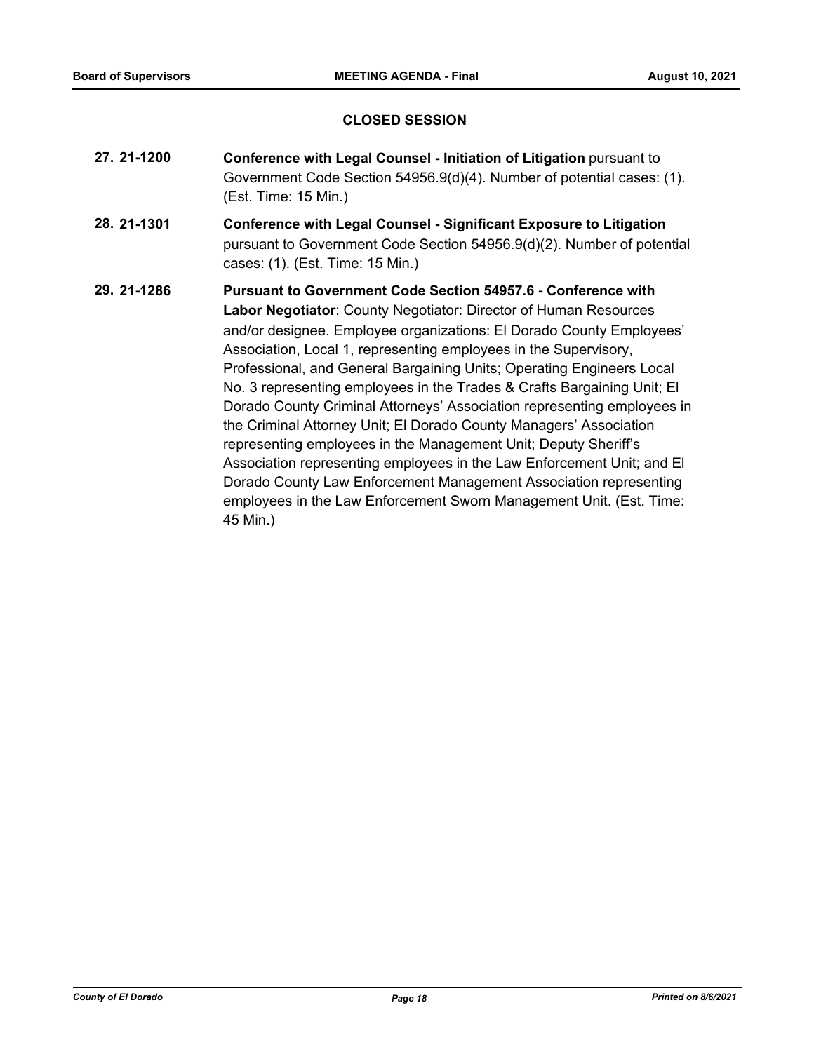### **CLOSED SESSION**

- **27. 21-1200 Conference with Legal Counsel Initiation of Litigation** pursuant to Government Code Section 54956.9(d)(4). Number of potential cases: (1). (Est. Time: 15 Min.)
- **28. 21-1301 Conference with Legal Counsel Significant Exposure to Litigation** pursuant to Government Code Section 54956.9(d)(2). Number of potential cases: (1). (Est. Time: 15 Min.)
- **29. 21-1286 Pursuant to Government Code Section 54957.6 Conference with Labor Negotiator**: County Negotiator: Director of Human Resources and/or designee. Employee organizations: El Dorado County Employees' Association, Local 1, representing employees in the Supervisory, Professional, and General Bargaining Units; Operating Engineers Local No. 3 representing employees in the Trades & Crafts Bargaining Unit; El Dorado County Criminal Attorneys' Association representing employees in the Criminal Attorney Unit; El Dorado County Managers' Association representing employees in the Management Unit; Deputy Sheriff's Association representing employees in the Law Enforcement Unit; and El Dorado County Law Enforcement Management Association representing employees in the Law Enforcement Sworn Management Unit. (Est. Time: 45 Min.)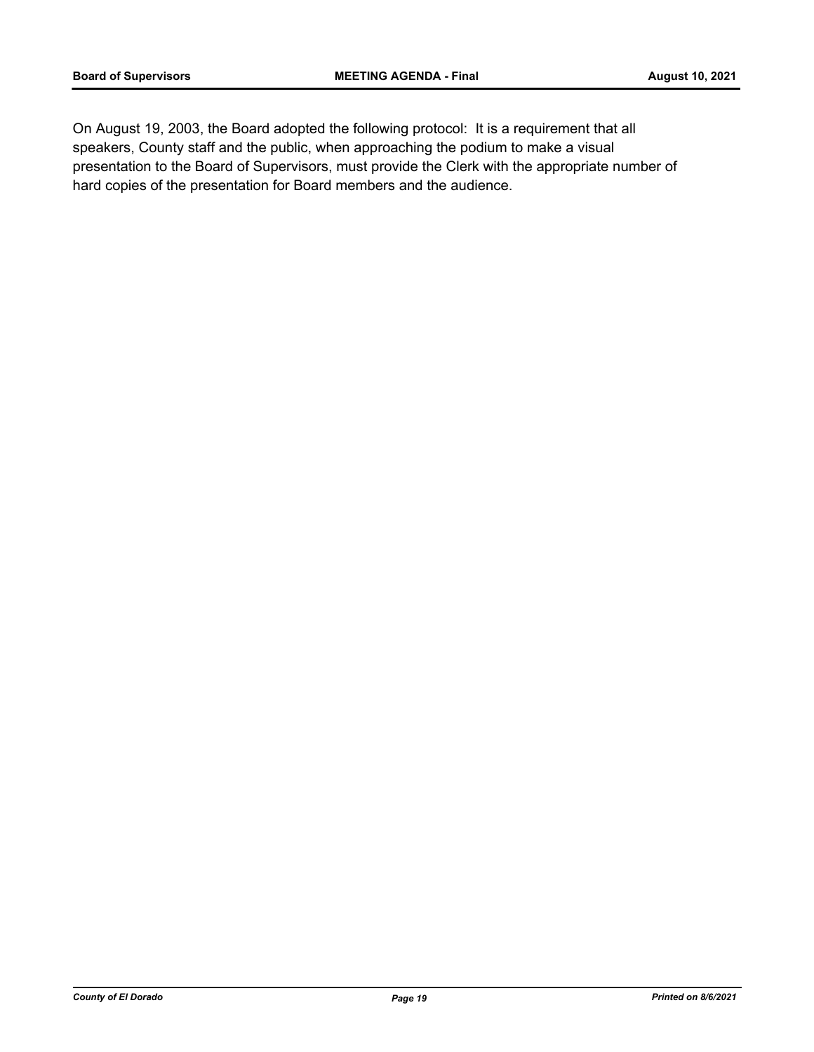On August 19, 2003, the Board adopted the following protocol: It is a requirement that all speakers, County staff and the public, when approaching the podium to make a visual presentation to the Board of Supervisors, must provide the Clerk with the appropriate number of hard copies of the presentation for Board members and the audience.